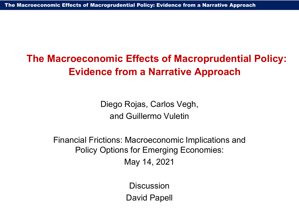# **The Macroeconomic Effects of Macroprudential Policy: Evidence from a Narrative Approach**

Diego Rojas, Carlos Vegh, and Guillermo Vuletin

Financial Frictions: Macroeconomic Implications and Policy Options for Emerging Economies: May 14, 2021

> **Discussion** David Papell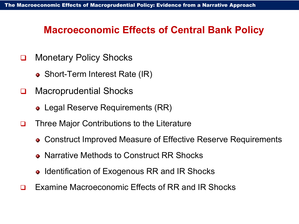# **Macroeconomic Effects of Central Bank Policy**

- □ Monetary Policy Shocks
	- Short-Term Interest Rate (IR)
- □ Macroprudential Shocks
	- Legal Reserve Requirements (RR)
- **□** Three Major Contributions to the Literature
	- Construct Improved Measure of Effective Reserve Requirements
	- Narrative Methods to Construct RR Shocks
	- Identification of Exogenous RR and IR Shocks
- **□** Examine Macroeconomic Effects of RR and IR Shocks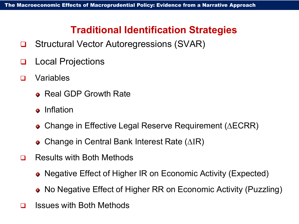# **Traditional Identification Strategies**

- Structural Vector Autoregressions (SVAR)
- **Q** Local Projections
- Variables
	- Real GDP Growth Rate
	- **•** Inflation
	- Change in Effective Legal Reserve Requirement (∆ECRR)
	- Change in Central Bank Interest Rate (∆ΙR)
- □ Results with Both Methods
	- Negative Effect of Higher IR on Economic Activity (Expected)
	- No Negative Effect of Higher RR on Economic Activity (Puzzling)
- $\Box$  Issues with Both Methods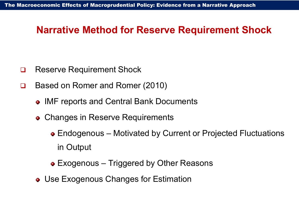## **Narrative Method for Reserve Requirement Shock**

- **□** Reserve Requirement Shock
- **□** Based on Romer and Romer (2010)
	- IMF reports and Central Bank Documents
	- Changes in Reserve Requirements
		- Endogenous Motivated by Current or Projected Fluctuations in Output
		- Exogenous Triggered by Other Reasons
	- Use Exogenous Changes for Estimation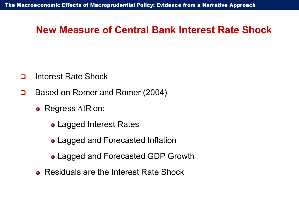#### **New Measure of Central Bank Interest Rate Shock**

- □ Interest Rate Shock
- Based on Romer and Romer (2004)
	- Regress ∆ΙR on:
		- Lagged Interest Rates
		- Lagged and Forecasted Inflation
		- Lagged and Forecasted GDP Growth
	- Residuals are the Interest Rate Shock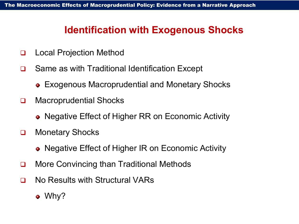## **Identification with Exogenous Shocks**

- Local Projection Method
- □ Same as with Traditional Identification Except
	- Exogenous Macroprudential and Monetary Shocks
- Macroprudential Shocks
	- Negative Effect of Higher RR on Economic Activity
- **Q** Monetary Shocks
	- Negative Effect of Higher IR on Economic Activity
- **□** More Convincing than Traditional Methods
- □ No Results with Structural VARs
	- Why?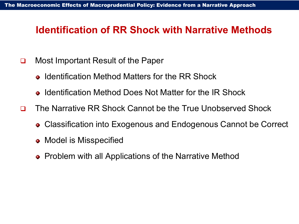### **Identification of RR Shock with Narrative Methods**

- □ Most Important Result of the Paper
	- Identification Method Matters for the RR Shock
	- Identification Method Does Not Matter for the IR Shock
- The Narrative RR Shock Cannot be the True Unobserved Shock
	- Classification into Exogenous and Endogenous Cannot be Correct
	- Model is Misspecified
	- Problem with all Applications of the Narrative Method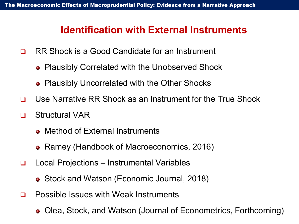#### **Identification with External Instruments**

- RR Shock is a Good Candidate for an Instrument
	- Plausibly Correlated with the Unobserved Shock
	- Plausibly Uncorrelated with the Other Shocks
- Use Narrative RR Shock as an Instrument for the True Shock
- Structural VAR
	- Method of External Instruments
	- Ramey (Handbook of Macroeconomics, 2016)
- Local Projections Instrumental Variables
	- Stock and Watson (Economic Journal, 2018)
- □ Possible Issues with Weak Instruments
	- Olea, Stock, and Watson (Journal of Econometrics, Forthcoming)